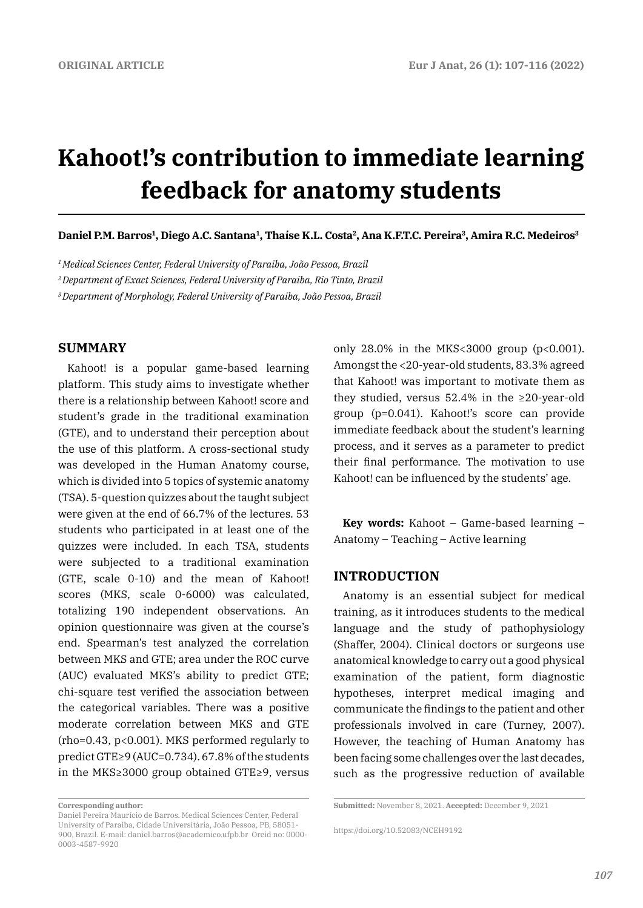# **Kahoot!'s contribution to immediate learning feedback for anatomy students**

**Daniel P.M. Barros1, Diego A.C. Santana1, Thaíse K.L. Costa2, Ana K.F.T.C. Pereira3, Amira R.C. Medeiros3**

*1 Medical Sciences Center, Federal University of Paraiba, João Pessoa, Brazil*

*2 Department of Exact Sciences, Federal University of Paraiba, Rio Tinto, Brazil*

*3 Department of Morphology, Federal University of Paraiba, João Pessoa, Brazil*

## **SUMMARY**

Kahoot! is a popular game-based learning platform. This study aims to investigate whether there is a relationship between Kahoot! score and student's grade in the traditional examination (GTE), and to understand their perception about the use of this platform. A cross-sectional study was developed in the Human Anatomy course, which is divided into 5 topics of systemic anatomy (TSA). 5-question quizzes about the taught subject were given at the end of 66.7% of the lectures. 53 students who participated in at least one of the quizzes were included. In each TSA, students were subjected to a traditional examination (GTE, scale 0-10) and the mean of Kahoot! scores (MKS, scale 0-6000) was calculated, totalizing 190 independent observations. An opinion questionnaire was given at the course's end. Spearman's test analyzed the correlation between MKS and GTE; area under the ROC curve (AUC) evaluated MKS's ability to predict GTE; chi-square test verified the association between the categorical variables. There was a positive moderate correlation between MKS and GTE (rho=0.43, p<0.001). MKS performed regularly to predict GTE≥9 (AUC=0.734). 67.8% of the students in the MKS≥3000 group obtained GTE≥9, versus only 28.0% in the MKS<3000 group (p<0.001). Amongst the <20-year-old students, 83.3% agreed that Kahoot! was important to motivate them as they studied, versus 52.4% in the ≥20-year-old group (p=0.041). Kahoot!'s score can provide immediate feedback about the student's learning process, and it serves as a parameter to predict their final performance. The motivation to use Kahoot! can be influenced by the students' age.

**Key words:** Kahoot – Game-based learning – Anatomy – Teaching – Active learning

#### **INTRODUCTION**

Anatomy is an essential subject for medical training, as it introduces students to the medical language and the study of pathophysiology (Shaffer, 2004). Clinical doctors or surgeons use anatomical knowledge to carry out a good physical examination of the patient, form diagnostic hypotheses, interpret medical imaging and communicate the findings to the patient and other professionals involved in care (Turney, 2007). However, the teaching of Human Anatomy has been facing some challenges over the last decades, such as the progressive reduction of available

**Corresponding author:** 

Daniel Pereira Maurício de Barros. Medical Sciences Center, Federal University of Paraiba, Cidade Universitária, João Pessoa, PB, 58051- 900, Brazil. E-mail: daniel.barros@academico.ufpb.br Orcid no: 0000- 0003-4587-9920

**Submitted:** November 8, 2021. **Accepted:** December 9, 2021

https://doi.org/10.52083/NCEH9192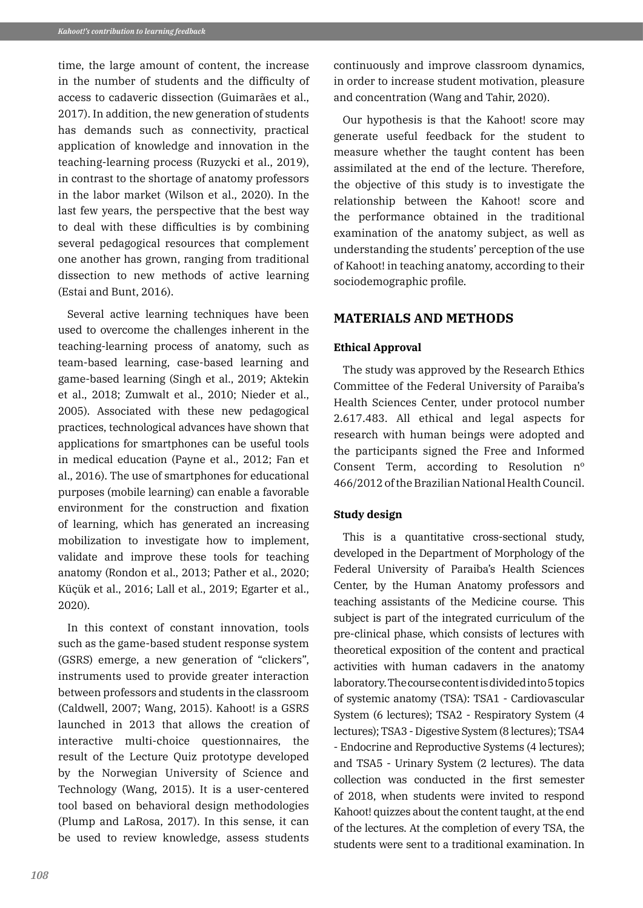time, the large amount of content, the increase in the number of students and the difficulty of access to cadaveric dissection (Guimarães et al., 2017). In addition, the new generation of students has demands such as connectivity, practical application of knowledge and innovation in the teaching-learning process (Ruzycki et al., 2019), in contrast to the shortage of anatomy professors in the labor market (Wilson et al., 2020). In the last few years, the perspective that the best way to deal with these difficulties is by combining several pedagogical resources that complement one another has grown, ranging from traditional dissection to new methods of active learning (Estai and Bunt, 2016).

Several active learning techniques have been used to overcome the challenges inherent in the teaching-learning process of anatomy, such as team-based learning, case-based learning and game-based learning (Singh et al., 2019; Aktekin et al., 2018; Zumwalt et al., 2010; Nieder et al., 2005). Associated with these new pedagogical practices, technological advances have shown that applications for smartphones can be useful tools in medical education (Payne et al., 2012; Fan et al., 2016). The use of smartphones for educational purposes (mobile learning) can enable a favorable environment for the construction and fixation of learning, which has generated an increasing mobilization to investigate how to implement, validate and improve these tools for teaching anatomy (Rondon et al., 2013; Pather et al., 2020; Küçük et al., 2016; Lall et al., 2019; Egarter et al., 2020).

In this context of constant innovation, tools such as the game-based student response system (GSRS) emerge, a new generation of "clickers", instruments used to provide greater interaction between professors and students in the classroom (Caldwell, 2007; Wang, 2015). Kahoot! is a GSRS launched in 2013 that allows the creation of interactive multi-choice questionnaires, the result of the Lecture Quiz prototype developed by the Norwegian University of Science and Technology (Wang, 2015). It is a user-centered tool based on behavioral design methodologies (Plump and LaRosa, 2017). In this sense, it can be used to review knowledge, assess students continuously and improve classroom dynamics, in order to increase student motivation, pleasure and concentration (Wang and Tahir, 2020).

Our hypothesis is that the Kahoot! score may generate useful feedback for the student to measure whether the taught content has been assimilated at the end of the lecture. Therefore, the objective of this study is to investigate the relationship between the Kahoot! score and the performance obtained in the traditional examination of the anatomy subject, as well as understanding the students' perception of the use of Kahoot! in teaching anatomy, according to their sociodemographic profile.

# **MATERIALS AND METHODS**

#### **Ethical Approval**

The study was approved by the Research Ethics Committee of the Federal University of Paraiba's Health Sciences Center, under protocol number 2.617.483. All ethical and legal aspects for research with human beings were adopted and the participants signed the Free and Informed Consent Term, according to Resolution nº 466/2012 of the Brazilian National Health Council.

#### **Study design**

This is a quantitative cross-sectional study, developed in the Department of Morphology of the Federal University of Paraiba's Health Sciences Center, by the Human Anatomy professors and teaching assistants of the Medicine course. This subject is part of the integrated curriculum of the pre-clinical phase, which consists of lectures with theoretical exposition of the content and practical activities with human cadavers in the anatomy laboratory. The course content is divided into 5 topics of systemic anatomy (TSA): TSA1 - Cardiovascular System (6 lectures); TSA2 - Respiratory System (4 lectures); TSA3 - Digestive System (8 lectures); TSA4 - Endocrine and Reproductive Systems (4 lectures); and TSA5 - Urinary System (2 lectures). The data collection was conducted in the first semester of 2018, when students were invited to respond Kahoot! quizzes about the content taught, at the end of the lectures. At the completion of every TSA, the students were sent to a traditional examination. In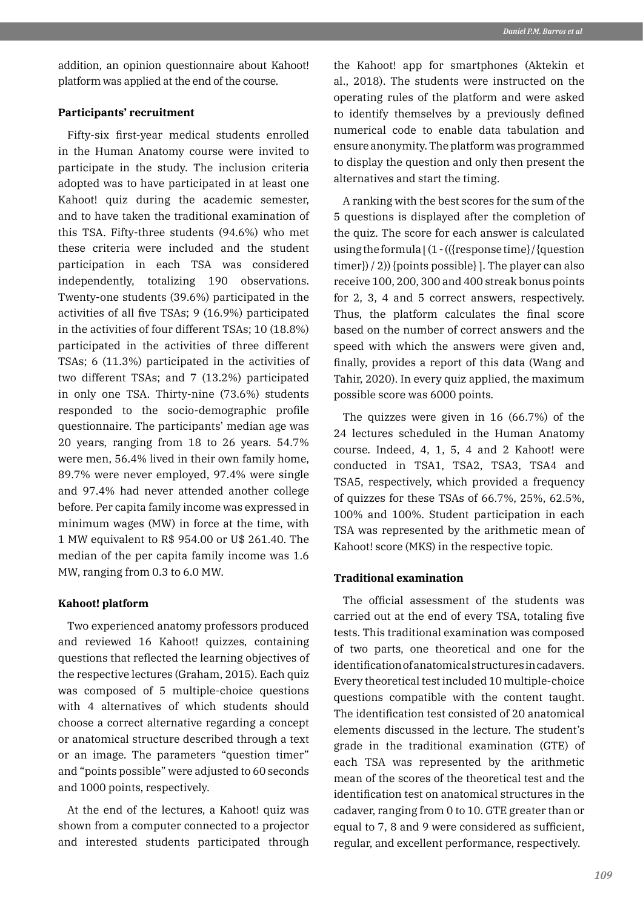addition, an opinion questionnaire about Kahoot! platform was applied at the end of the course.

## **Participants' recruitment**

Fifty-six first-year medical students enrolled in the Human Anatomy course were invited to participate in the study. The inclusion criteria adopted was to have participated in at least one Kahoot! quiz during the academic semester, and to have taken the traditional examination of this TSA. Fifty-three students (94.6%) who met these criteria were included and the student participation in each TSA was considered independently, totalizing 190 observations. Twenty-one students (39.6%) participated in the activities of all five TSAs; 9 (16.9%) participated in the activities of four different TSAs; 10 (18.8%) participated in the activities of three different TSAs; 6 (11.3%) participated in the activities of two different TSAs; and 7 (13.2%) participated in only one TSA. Thirty-nine (73.6%) students responded to the socio-demographic profile questionnaire. The participants' median age was 20 years, ranging from 18 to 26 years. 54.7% were men, 56.4% lived in their own family home, 89.7% were never employed, 97.4% were single and 97.4% had never attended another college before. Per capita family income was expressed in minimum wages (MW) in force at the time, with 1 MW equivalent to R\$ 954.00 or U\$ 261.40. The median of the per capita family income was 1.6 MW, ranging from 0.3 to 6.0 MW.

### **Kahoot! platform**

Two experienced anatomy professors produced and reviewed 16 Kahoot! quizzes, containing questions that reflected the learning objectives of the respective lectures (Graham, 2015). Each quiz was composed of 5 multiple-choice questions with 4 alternatives of which students should choose a correct alternative regarding a concept or anatomical structure described through a text or an image. The parameters "question timer" and "points possible" were adjusted to 60 seconds and 1000 points, respectively.

At the end of the lectures, a Kahoot! quiz was shown from a computer connected to a projector and interested students participated through the Kahoot! app for smartphones (Aktekin et al., 2018). The students were instructed on the operating rules of the platform and were asked to identify themselves by a previously defined numerical code to enable data tabulation and ensure anonymity. The platform was programmed to display the question and only then present the alternatives and start the timing.

A ranking with the best scores for the sum of the 5 questions is displayed after the completion of the quiz. The score for each answer is calculated using the formula  $\left(1 - \left(\frac{r}{r}\right)\right)$  (question  $time$ }  $/$  2) {points possible} ]. The player can also receive 100, 200, 300 and 400 streak bonus points for 2, 3, 4 and 5 correct answers, respectively. Thus, the platform calculates the final score based on the number of correct answers and the speed with which the answers were given and, finally, provides a report of this data (Wang and Tahir, 2020). In every quiz applied, the maximum possible score was 6000 points.

The quizzes were given in 16 (66.7%) of the 24 lectures scheduled in the Human Anatomy course. Indeed, 4, 1, 5, 4 and 2 Kahoot! were conducted in TSA1, TSA2, TSA3, TSA4 and TSA5, respectively, which provided a frequency of quizzes for these TSAs of 66.7%, 25%, 62.5%, 100% and 100%. Student participation in each TSA was represented by the arithmetic mean of Kahoot! score (MKS) in the respective topic.

#### **Traditional examination**

The official assessment of the students was carried out at the end of every TSA, totaling five tests. This traditional examination was composed of two parts, one theoretical and one for the identification of anatomical structures in cadavers. Every theoretical test included 10 multiple-choice questions compatible with the content taught. The identification test consisted of 20 anatomical elements discussed in the lecture. The student's grade in the traditional examination (GTE) of each TSA was represented by the arithmetic mean of the scores of the theoretical test and the identification test on anatomical structures in the cadaver, ranging from 0 to 10. GTE greater than or equal to 7, 8 and 9 were considered as sufficient, regular, and excellent performance, respectively.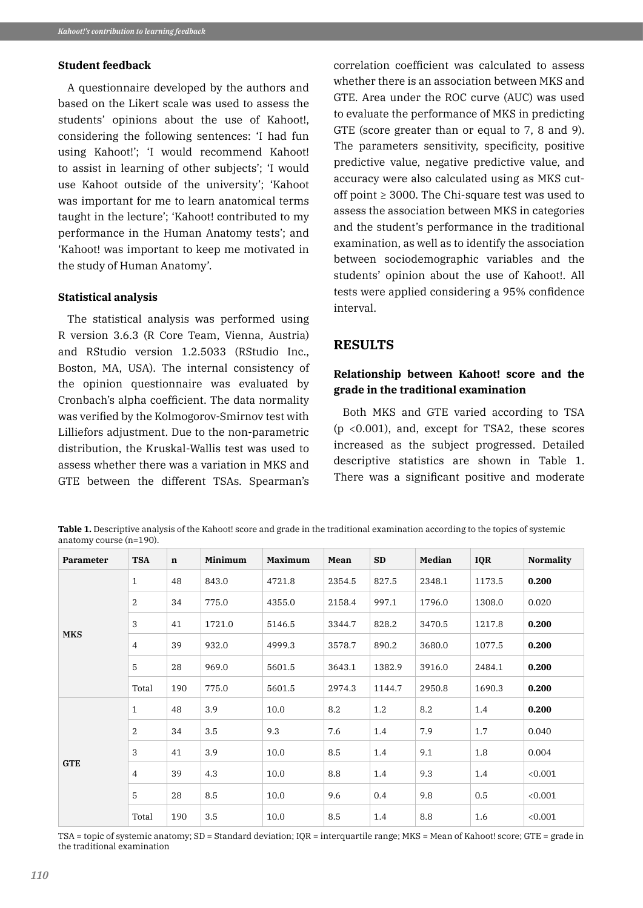### **Student feedback**

A questionnaire developed by the authors and based on the Likert scale was used to assess the students' opinions about the use of Kahoot!, considering the following sentences: 'I had fun using Kahoot!'; 'I would recommend Kahoot! to assist in learning of other subjects'; 'I would use Kahoot outside of the university'; 'Kahoot was important for me to learn anatomical terms taught in the lecture'; 'Kahoot! contributed to my performance in the Human Anatomy tests'; and 'Kahoot! was important to keep me motivated in the study of Human Anatomy'.

#### **Statistical analysis**

The statistical analysis was performed using R version 3.6.3 (R Core Team, Vienna, Austria) and RStudio version 1.2.5033 (RStudio Inc., Boston, MA, USA). The internal consistency of the opinion questionnaire was evaluated by Cronbach's alpha coefficient. The data normality was verified by the Kolmogorov-Smirnov test with Lilliefors adjustment. Due to the non-parametric distribution, the Kruskal-Wallis test was used to assess whether there was a variation in MKS and GTE between the different TSAs. Spearman's

correlation coefficient was calculated to assess whether there is an association between MKS and GTE. Area under the ROC curve (AUC) was used to evaluate the performance of MKS in predicting GTE (score greater than or equal to 7, 8 and 9). The parameters sensitivity, specificity, positive predictive value, negative predictive value, and accuracy were also calculated using as MKS cutoff point  $\geq$  3000. The Chi-square test was used to assess the association between MKS in categories and the student's performance in the traditional examination, as well as to identify the association between sociodemographic variables and the students' opinion about the use of Kahoot!. All tests were applied considering a 95% confidence interval.

# **RESULTS**

# **Relationship between Kahoot! score and the grade in the traditional examination**

Both MKS and GTE varied according to TSA (p <0.001), and, except for TSA2, these scores increased as the subject progressed. Detailed descriptive statistics are shown in Table 1. There was a significant positive and moderate

**Table 1.** Descriptive analysis of the Kahoot! score and grade in the traditional examination according to the topics of systemic anatomy course (n=190).

| <b>Parameter</b> | <b>TSA</b>     | $\mathbf n$ | Minimum | <b>Maximum</b> | Mean   | SD     | <b>Median</b> | <b>IQR</b> | <b>Normality</b> |
|------------------|----------------|-------------|---------|----------------|--------|--------|---------------|------------|------------------|
| <b>MKS</b>       | $\mathbf{1}$   | 48          | 843.0   | 4721.8         | 2354.5 | 827.5  | 2348.1        | 1173.5     | 0.200            |
|                  | 2              | 34          | 775.0   | 4355.0         | 2158.4 | 997.1  | 1796.0        | 1308.0     | 0.020            |
|                  | 3              | 41          | 1721.0  | 5146.5         | 3344.7 | 828.2  | 3470.5        | 1217.8     | 0.200            |
|                  | $\overline{4}$ | 39          | 932.0   | 4999.3         | 3578.7 | 890.2  | 3680.0        | 1077.5     | 0.200            |
|                  | 5              | 28          | 969.0   | 5601.5         | 3643.1 | 1382.9 | 3916.0        | 2484.1     | 0.200            |
|                  | Total          | 190         | 775.0   | 5601.5         | 2974.3 | 1144.7 | 2950.8        | 1690.3     | 0.200            |
| <b>GTE</b>       | $\mathbf{1}$   | 48          | 3.9     | 10.0           | 8.2    | 1.2    | 8.2           | 1.4        | 0.200            |
|                  | $\overline{2}$ | 34          | 3.5     | 9.3            | 7.6    | 1.4    | 7.9           | 1.7        | 0.040            |
|                  | 3              | 41          | 3.9     | 10.0           | 8.5    | 1.4    | 9.1           | 1.8        | 0.004            |
|                  | $\overline{4}$ | 39          | 4.3     | 10.0           | 8.8    | 1.4    | 9.3           | 1.4        | < 0.001          |
|                  | 5              | 28          | 8.5     | 10.0           | 9.6    | 0.4    | 9.8           | 0.5        | < 0.001          |
|                  | Total          | 190         | 3.5     | 10.0           | 8.5    | 1.4    | 8.8           | 1.6        | < 0.001          |

TSA = topic of systemic anatomy; SD = Standard deviation; IQR = interquartile range; MKS = Mean of Kahoot! score; GTE = grade in the traditional examination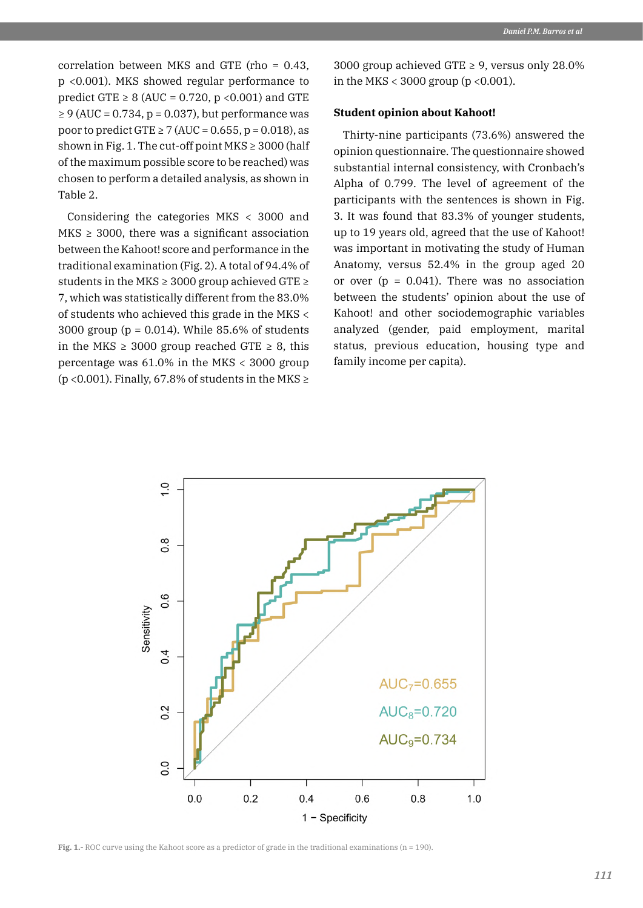correlation between MKS and GTE (rho = 0.43, p <0.001). MKS showed regular performance to predict GTE  $\geq 8$  (AUC = 0.720, p < 0.001) and GTE  $\geq$  9 (AUC = 0.734, p = 0.037), but performance was poor to predict GTE  $\geq$  7 (AUC = 0.655, p = 0.018), as shown in Fig. 1. The cut-off point  $MKS \geq 3000$  (half of the maximum possible score to be reached) was chosen to perform a detailed analysis, as shown in Table 2.

Considering the categories MKS < 3000 and  $MKS \geq 3000$ , there was a significant association between the Kahoot! score and performance in the traditional examination (Fig. 2). A total of 94.4% of students in the MKS  $\geq$  3000 group achieved GTE  $\geq$ 7, which was statistically different from the 83.0% of students who achieved this grade in the MKS < 3000 group (p = 0.014). While 85.6% of students in the MKS  $\geq$  3000 group reached GTE  $\geq$  8, this percentage was 61.0% in the MKS < 3000 group ( $p$  <0.001). Finally, 67.8% of students in the MKS  $\ge$ 

3000 group achieved GTE  $\geq$  9, versus only 28.0% in the MKS < 3000 group ( $p \le 0.001$ ).

## **Student opinion about Kahoot!**

Thirty-nine participants (73.6%) answered the opinion questionnaire. The questionnaire showed substantial internal consistency, with Cronbach's Alpha of 0.799. The level of agreement of the participants with the sentences is shown in Fig. 3. It was found that 83.3% of younger students, up to 19 years old, agreed that the use of Kahoot! was important in motivating the study of Human Anatomy, versus 52.4% in the group aged 20 or over  $(p = 0.041)$ . There was no association between the students' opinion about the use of Kahoot! and other sociodemographic variables analyzed (gender, paid employment, marital status, previous education, housing type and family income per capita).



**Fig. 1.-** ROC curve using the Kahoot score as a predictor of grade in the traditional examinations (n = 190).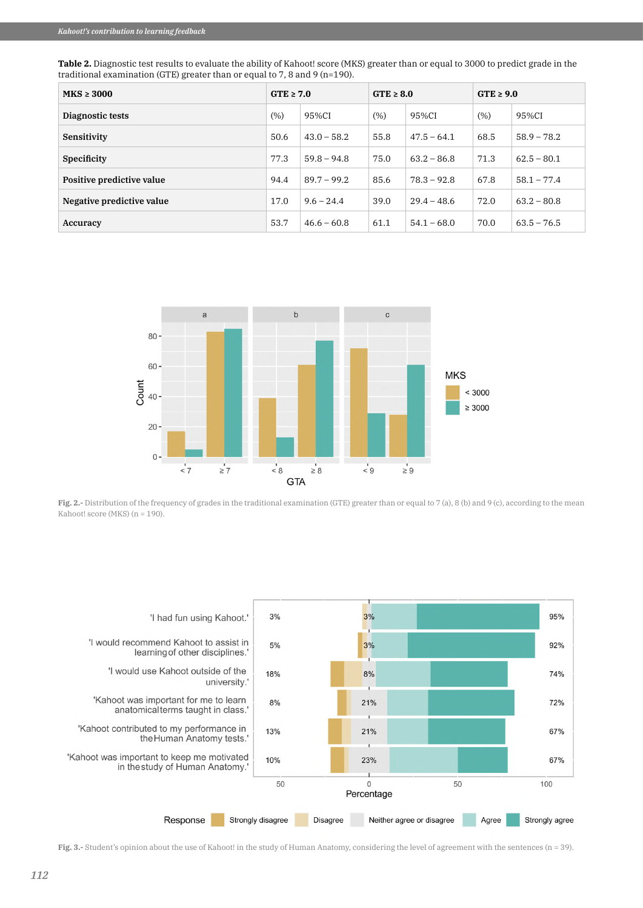| Table 2. Diagnostic test results to evaluate the ability of Kahoot! score (MKS) greater than or equal to 3000 to predict grade in the |
|---------------------------------------------------------------------------------------------------------------------------------------|
| traditional examination (GTE) greater than or equal to 7, 8 and 9 ( $n=190$ ).                                                        |

| $MKS \geq 3000$           | $GTE \geq 7.0$ |               | $GTE \geq 8.0$ |               | $GTE \geq 9.0$ |               |
|---------------------------|----------------|---------------|----------------|---------------|----------------|---------------|
| Diagnostic tests          | (% )           | 95%CI         | (% )           | 95%CI         | (% )           | 95%CI         |
| Sensitivity               | 50.6           | $43.0 - 58.2$ | 55.8           | $47.5 - 64.1$ | 68.5           | $58.9 - 78.2$ |
| <b>Specificity</b>        | 77.3           | $59.8 - 94.8$ | 75.0           | $63.2 - 86.8$ | 71.3           | $62.5 - 80.1$ |
| Positive predictive value | 94.4           | $89.7 - 99.2$ | 85.6           | $78.3 - 92.8$ | 67.8           | $58.1 - 77.4$ |
| Negative predictive value | 17.0           | $9.6 - 24.4$  | 39.0           | $29.4 - 48.6$ | 72.0           | $63.2 - 80.8$ |
| Accuracy                  | 53.7           | $46.6 - 60.8$ | 61.1           | $54.1 - 68.0$ | 70.0           | $63.5 - 76.5$ |



**Fig. 2.-** Distribution of the frequency of grades in the traditional examination (GTE) greater than or equal to 7 (a), 8 (b) and 9 (c), according to the mean Kahoot! score (MKS) (n = 190).



**Fig. 3.-** Student's opinion about the use of Kahoot! in the study of Human Anatomy, considering the level of agreement with the sentences (n = 39).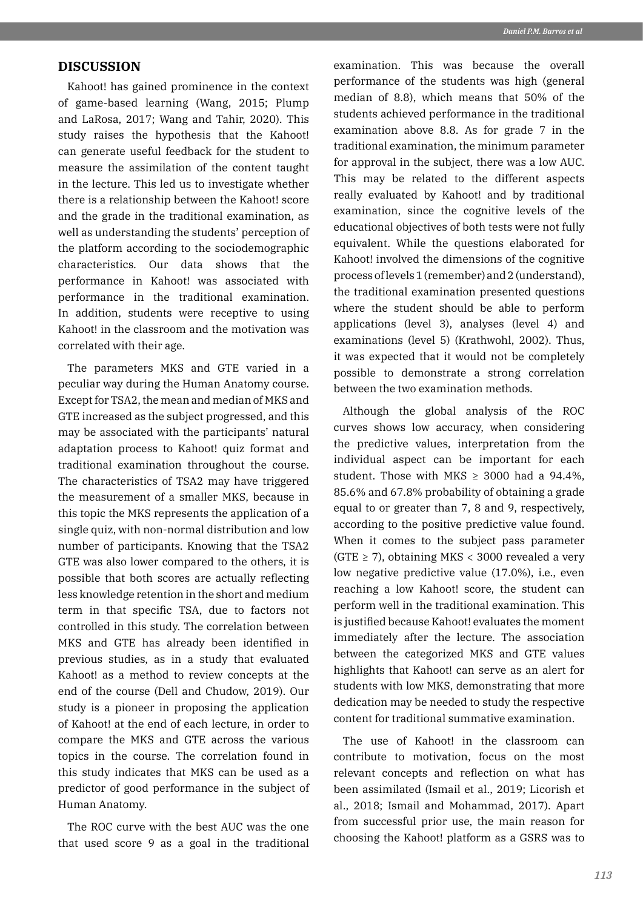## **DISCUSSION**

Kahoot! has gained prominence in the context of game-based learning (Wang, 2015; Plump and LaRosa, 2017; Wang and Tahir, 2020). This study raises the hypothesis that the Kahoot! can generate useful feedback for the student to measure the assimilation of the content taught in the lecture. This led us to investigate whether there is a relationship between the Kahoot! score and the grade in the traditional examination, as well as understanding the students' perception of the platform according to the sociodemographic characteristics. Our data shows that the performance in Kahoot! was associated with performance in the traditional examination. In addition, students were receptive to using Kahoot! in the classroom and the motivation was correlated with their age.

The parameters MKS and GTE varied in a peculiar way during the Human Anatomy course. Except for TSA2, the mean and median of MKS and GTE increased as the subject progressed, and this may be associated with the participants' natural adaptation process to Kahoot! quiz format and traditional examination throughout the course. The characteristics of TSA2 may have triggered the measurement of a smaller MKS, because in this topic the MKS represents the application of a single quiz, with non-normal distribution and low number of participants. Knowing that the TSA2 GTE was also lower compared to the others, it is possible that both scores are actually reflecting less knowledge retention in the short and medium term in that specific TSA, due to factors not controlled in this study. The correlation between MKS and GTE has already been identified in previous studies, as in a study that evaluated Kahoot! as a method to review concepts at the end of the course (Dell and Chudow, 2019). Our study is a pioneer in proposing the application of Kahoot! at the end of each lecture, in order to compare the MKS and GTE across the various topics in the course. The correlation found in this study indicates that MKS can be used as a predictor of good performance in the subject of Human Anatomy.

The ROC curve with the best AUC was the one that used score 9 as a goal in the traditional examination. This was because the overall performance of the students was high (general median of 8.8), which means that 50% of the students achieved performance in the traditional examination above 8.8. As for grade 7 in the traditional examination, the minimum parameter for approval in the subject, there was a low AUC. This may be related to the different aspects really evaluated by Kahoot! and by traditional examination, since the cognitive levels of the educational objectives of both tests were not fully equivalent. While the questions elaborated for Kahoot! involved the dimensions of the cognitive process of levels 1 (remember) and 2 (understand), the traditional examination presented questions where the student should be able to perform applications (level 3), analyses (level 4) and examinations (level 5) (Krathwohl, 2002). Thus, it was expected that it would not be completely possible to demonstrate a strong correlation between the two examination methods.

Although the global analysis of the ROC curves shows low accuracy, when considering the predictive values, interpretation from the individual aspect can be important for each student. Those with MKS  $\geq$  3000 had a 94.4%, 85.6% and 67.8% probability of obtaining a grade equal to or greater than 7, 8 and 9, respectively, according to the positive predictive value found. When it comes to the subject pass parameter  $(GTE \ge 7)$ , obtaining MKS < 3000 revealed a very low negative predictive value (17.0%), i.e., even reaching a low Kahoot! score, the student can perform well in the traditional examination. This is justified because Kahoot! evaluates the moment immediately after the lecture. The association between the categorized MKS and GTE values highlights that Kahoot! can serve as an alert for students with low MKS, demonstrating that more dedication may be needed to study the respective content for traditional summative examination.

The use of Kahoot! in the classroom can contribute to motivation, focus on the most relevant concepts and reflection on what has been assimilated (Ismail et al., 2019; Licorish et al., 2018; Ismail and Mohammad, 2017). Apart from successful prior use, the main reason for choosing the Kahoot! platform as a GSRS was to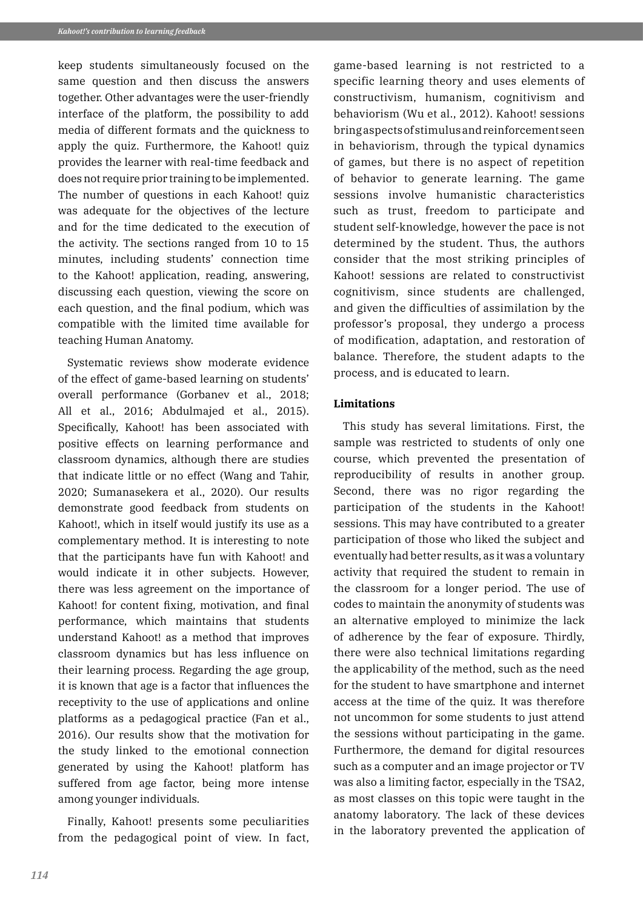keep students simultaneously focused on the same question and then discuss the answers together. Other advantages were the user-friendly interface of the platform, the possibility to add media of different formats and the quickness to apply the quiz. Furthermore, the Kahoot! quiz provides the learner with real-time feedback and does not require prior training to be implemented. The number of questions in each Kahoot! quiz was adequate for the objectives of the lecture and for the time dedicated to the execution of the activity. The sections ranged from 10 to 15 minutes, including students' connection time to the Kahoot! application, reading, answering, discussing each question, viewing the score on each question, and the final podium, which was compatible with the limited time available for teaching Human Anatomy.

Systematic reviews show moderate evidence of the effect of game-based learning on students' overall performance (Gorbanev et al., 2018; All et al., 2016: Abdulmaied et al., 2015). Specifically, Kahoot! has been associated with positive effects on learning performance and classroom dynamics, although there are studies that indicate little or no effect (Wang and Tahir, 2020; Sumanasekera et al., 2020). Our results demonstrate good feedback from students on Kahoot!, which in itself would justify its use as a complementary method. It is interesting to note that the participants have fun with Kahoot! and would indicate it in other subjects. However, there was less agreement on the importance of Kahoot! for content fixing, motivation, and final performance, which maintains that students understand Kahoot! as a method that improves classroom dynamics but has less influence on their learning process. Regarding the age group, it is known that age is a factor that influences the receptivity to the use of applications and online platforms as a pedagogical practice (Fan et al., 2016). Our results show that the motivation for the study linked to the emotional connection generated by using the Kahoot! platform has suffered from age factor, being more intense among younger individuals.

Finally, Kahoot! presents some peculiarities from the pedagogical point of view. In fact,

game-based learning is not restricted to a specific learning theory and uses elements of constructivism, humanism, cognitivism and behaviorism (Wu et al., 2012). Kahoot! sessions bring aspects of stimulus and reinforcement seen in behaviorism, through the typical dynamics of games, but there is no aspect of repetition of behavior to generate learning. The game sessions involve humanistic characteristics such as trust, freedom to participate and student self-knowledge, however the pace is not determined by the student. Thus, the authors consider that the most striking principles of Kahoot! sessions are related to constructivist cognitivism, since students are challenged, and given the difficulties of assimilation by the professor's proposal, they undergo a process of modification, adaptation, and restoration of balance. Therefore, the student adapts to the process, and is educated to learn.

#### **Limitations**

This study has several limitations. First, the sample was restricted to students of only one course, which prevented the presentation of reproducibility of results in another group. Second, there was no rigor regarding the participation of the students in the Kahoot! sessions. This may have contributed to a greater participation of those who liked the subject and eventually had better results, as it was a voluntary activity that required the student to remain in the classroom for a longer period. The use of codes to maintain the anonymity of students was an alternative employed to minimize the lack of adherence by the fear of exposure. Thirdly, there were also technical limitations regarding the applicability of the method, such as the need for the student to have smartphone and internet access at the time of the quiz. It was therefore not uncommon for some students to just attend the sessions without participating in the game. Furthermore, the demand for digital resources such as a computer and an image projector or TV was also a limiting factor, especially in the TSA2, as most classes on this topic were taught in the anatomy laboratory. The lack of these devices in the laboratory prevented the application of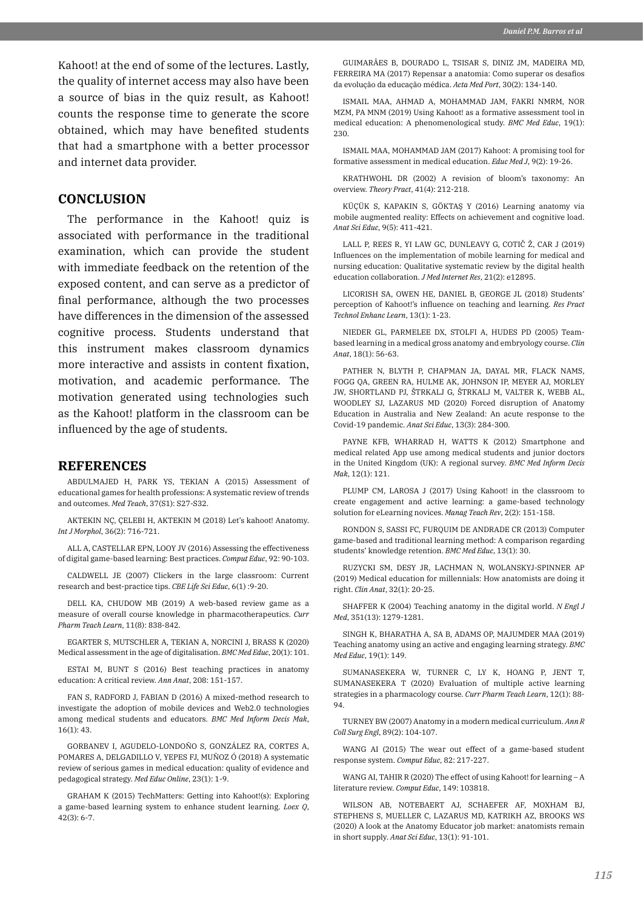Kahoot! at the end of some of the lectures. Lastly, the quality of internet access may also have been a source of bias in the quiz result, as Kahoot! counts the response time to generate the score obtained, which may have benefited students that had a smartphone with a better processor and internet data provider.

### **CONCLUSION**

The performance in the Kahoot! quiz is associated with performance in the traditional examination, which can provide the student with immediate feedback on the retention of the exposed content, and can serve as a predictor of final performance, although the two processes have differences in the dimension of the assessed cognitive process. Students understand that this instrument makes classroom dynamics more interactive and assists in content fixation, motivation, and academic performance. The motivation generated using technologies such as the Kahoot! platform in the classroom can be influenced by the age of students.

#### **REFERENCES**

ABDULMAJED H, PARK YS, TEKIAN A (2015) Assessment of educational games for health professions: A systematic review of trends and outcomes. *Med Teach*, 37(S1): S27-S32.

AKTEKIN NÇ, ÇELEBI H, AKTEKIN M (2018) Let's kahoot! Anatomy. *Int J Morphol*, 36(2): 716-721.

ALL A, CASTELLAR EPN, LOOY JV (2016) Assessing the effectiveness of digital game-based learning: Best practices. *Comput Educ*, 92: 90-103.

CALDWELL JE (2007) Clickers in the large classroom: Current research and best-practice tips. *CBE Life Sci Educ*, 6(1) :9-20.

DELL KA, CHUDOW MB (2019) A web-based review game as a measure of overall course knowledge in pharmacotherapeutics. *Curr Pharm Teach Learn*, 11(8): 838-842.

EGARTER S, MUTSCHLER A, TEKIAN A, NORCINI J, BRASS K (2020) Medical assessment in the age of digitalisation. *BMC Med Educ*, 20(1): 101.

ESTAI M, BUNT S (2016) Best teaching practices in anatomy education: A critical review. *Ann Anat*, 208: 151-157.

FAN S, RADFORD J, FABIAN D (2016) A mixed-method research to investigate the adoption of mobile devices and Web2.0 technologies among medical students and educators. *BMC Med Inform Decis Mak*, 16(1): 43.

GORBANEV I, AGUDELO-LONDOÑO S, GONZÁLEZ RA, CORTES A, POMARES A, DELGADILLO V, YEPES FJ, MUÑOZ Ó (2018) A systematic review of serious games in medical education: quality of evidence and pedagogical strategy. *Med Educ Online*, 23(1): 1-9.

GRAHAM K (2015) TechMatters: Getting into Kahoot!(s): Exploring a game-based learning system to enhance student learning. *Loex Q*, 42(3): 6-7.

GUIMARÃES B, DOURADO L, TSISAR S, DINIZ JM, MADEIRA MD, FERREIRA MA (2017) Repensar a anatomia: Como superar os desafios da evolução da educação médica. *Acta Med Port*, 30(2): 134-140.

ISMAIL MAA, AHMAD A, MOHAMMAD JAM, FAKRI NMRM, NOR MZM, PA MNM (2019) Using Kahoot! as a formative assessment tool in medical education: A phenomenological study. *BMC Med Educ*, 19(1): 230.

ISMAIL MAA, MOHAMMAD JAM (2017) Kahoot: A promising tool for formative assessment in medical education. *Educ Med J*, 9(2): 19-26.

KRATHWOHL DR (2002) A revision of bloom's taxonomy: An overview. *Theory Pract*, 41(4): 212-218.

KÜÇÜK S, KAPAKIN S, GÖKTAŞ Y (2016) Learning anatomy via mobile augmented reality: Effects on achievement and cognitive load. *Anat Sci Educ*, 9(5): 411-421.

LALL P, REES R, YI LAW GC, DUNLEAVY G, COTIČ Ž, CAR J (2019) Influences on the implementation of mobile learning for medical and nursing education: Qualitative systematic review by the digital health education collaboration. *J Med Internet Res*, 21(2): e12895.

LICORISH SA, OWEN HE, DANIEL B, GEORGE JL (2018) Students' perception of Kahoot!'s influence on teaching and learning. *Res Pract Technol Enhanc Learn*, 13(1): 1-23.

NIEDER GL, PARMELEE DX, STOLFI A, HUDES PD (2005) Teambased learning in a medical gross anatomy and embryology course. *Clin Anat*, 18(1): 56-63.

PATHER N, BLYTH P, CHAPMAN JA, DAYAL MR, FLACK NAMS, FOGG QA, GREEN RA, HULME AK, JOHNSON IP, MEYER AJ, MORLEY JW, SHORTLAND PJ, ŠTRKALJ G, ŠTRKALJ M, VALTER K, WEBB AL, WOODLEY SJ, LAZARUS MD (2020) Forced disruption of Anatomy Education in Australia and New Zealand: An acute response to the Covid-19 pandemic. *Anat Sci Educ*, 13(3): 284-300.

PAYNE KFB, WHARRAD H, WATTS K (2012) Smartphone and medical related App use among medical students and junior doctors in the United Kingdom (UK): A regional survey. *BMC Med Inform Decis Mak*, 12(1): 121.

PLUMP CM, LAROSA J (2017) Using Kahoot! in the classroom to create engagement and active learning: a game-based technology solution for eLearning novices. *Manag Teach Rev*, 2(2): 151-158.

RONDON S, SASSI FC, FURQUIM DE ANDRADE CR (2013) Computer game-based and traditional learning method: A comparison regarding students' knowledge retention. *BMC Med Educ*, 13(1): 30.

RUZYCKI SM, DESY JR, LACHMAN N, WOLANSKYJ-SPINNER AP (2019) Medical education for millennials: How anatomists are doing it right. *Clin Anat*, 32(1): 20-25.

SHAFFER K (2004) Teaching anatomy in the digital world. *N Engl J Med*, 351(13): 1279-1281.

SINGH K, BHARATHA A, SA B, ADAMS OP, MAJUMDER MAA (2019) Teaching anatomy using an active and engaging learning strategy. *BMC Med Educ*, 19(1): 149.

SUMANASEKERA W, TURNER C, LY K, HOANG P, JENT T, SUMANASEKERA T (2020) Evaluation of multiple active learning strategies in a pharmacology course. *Curr Pharm Teach Learn*, 12(1): 88- 94.

TURNEY BW (2007) Anatomy in a modern medical curriculum. *Ann R Coll Surg Engl*, 89(2): 104-107.

WANG AI (2015) The wear out effect of a game-based student response system. *Comput Educ*, 82: 217-227.

WANG AI, TAHIR R (2020) The effect of using Kahoot! for learning – A literature review. *Comput Educ*, 149: 103818.

WILSON AB, NOTEBAERT AJ, SCHAEFER AF, MOXHAM BJ, STEPHENS S, MUELLER C, LAZARUS MD, KATRIKH AZ, BROOKS WS (2020) A look at the Anatomy Educator job market: anatomists remain in short supply. *Anat Sci Educ*, 13(1): 91-101.